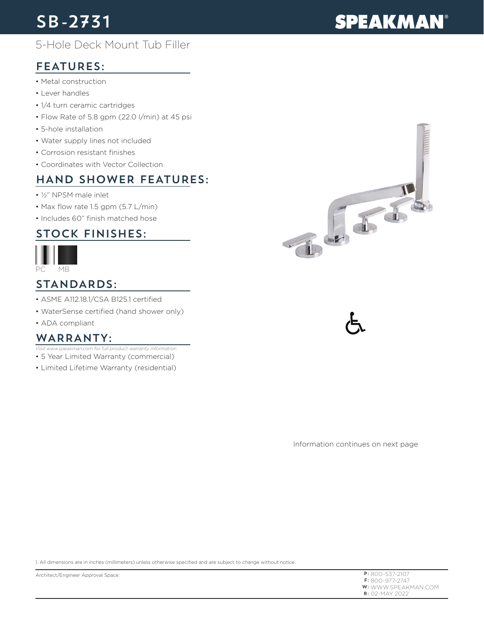# SB-2731

# **SPEAKMAN®**

## 5-Hole Deck Mount Tub Filler

## FEATURES:

- Metal construction
- Lever handles
- 1/4 turn ceramic cartridges
- Flow Rate of 5.8 gpm (22.0 l/min) at 45 psi
- 5-hole installation
- Water supply lines not included
- Corrosion resistant finishes
- Coordinates with Vector Collection

## HAND SHOWER FEATURES:

- ½" NPSM male inlet
- Max flow rate 1.5 gpm (5.7 L/min)
- Includes 60" finish matched hose

#### STOCK FINISHES:



#### STANDARDS:

- ASME A112.18.1/CSA B125.1 certified
- WaterSense certified (hand shower only)
- ADA compliant

#### WARRANTY:

- 5 Year Limited Warranty (commercial) *Visit www.speakman.com for full product warranty information*
- 
- Limited Lifetime Warranty (residential)

Information continues on next page

1. All dimensions are in inches (millimeters) unless otherwise specified and are subject to change without notice.